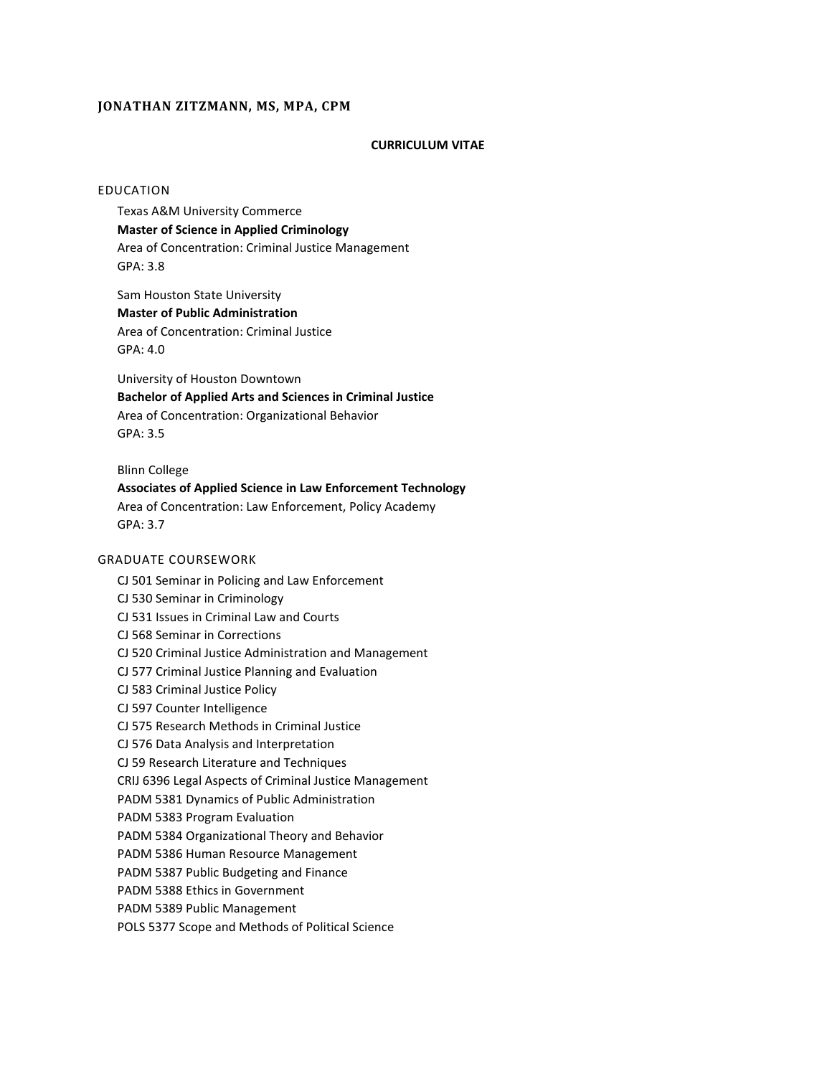# **JONATHAN ZITZMANN, MS, MPA, CPM**

# **CURRICULUM VITAE**

## EDUCATION

Texas A&M University Commerce **Master of Science in Applied Criminology** Area of Concentration: Criminal Justice Management GPA: 3.8

Sam Houston State University **Master of Public Administration** Area of Concentration: Criminal Justice GPA: 4.0

University of Houston Downtown **Bachelor of Applied Arts and Sciences in Criminal Justice** Area of Concentration: Organizational Behavior GPA: 3.5

Blinn College

**Associates of Applied Science in Law Enforcement Technology** Area of Concentration: Law Enforcement, Policy Academy GPA: 3.7

# GRADUATE COURSEWORK

CJ 501 Seminar in Policing and Law Enforcement

CJ 530 Seminar in Criminology

CJ 531 Issues in Criminal Law and Courts

CJ 568 Seminar in Corrections

CJ 520 Criminal Justice Administration and Management

CJ 577 Criminal Justice Planning and Evaluation

CJ 583 Criminal Justice Policy

CJ 597 Counter Intelligence

CJ 575 Research Methods in Criminal Justice

CJ 576 Data Analysis and Interpretation

CJ 59 Research Literature and Techniques

CRIJ 6396 Legal Aspects of Criminal Justice Management

PADM 5381 Dynamics of Public Administration

PADM 5383 Program Evaluation

PADM 5384 Organizational Theory and Behavior

PADM 5386 Human Resource Management

PADM 5387 Public Budgeting and Finance

PADM 5388 Ethics in Government

PADM 5389 Public Management

POLS 5377 Scope and Methods of Political Science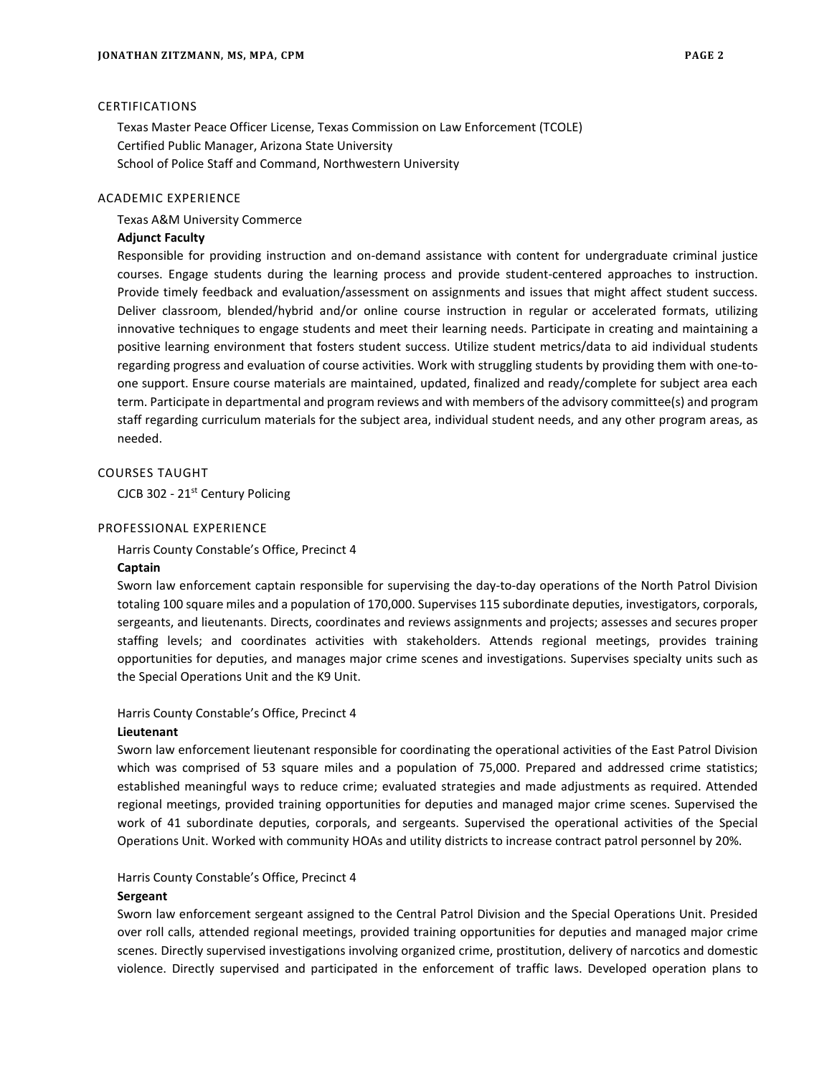### CERTIFICATIONS

Texas Master Peace Officer License, Texas Commission on Law Enforcement (TCOLE) Certified Public Manager, Arizona State University School of Police Staff and Command, Northwestern University

### ACADEMIC EXPERIENCE

#### Texas A&M University Commerce

#### **Adjunct Faculty**

Responsible for providing instruction and on-demand assistance with content for undergraduate criminal justice courses. Engage students during the learning process and provide student-centered approaches to instruction. Provide timely feedback and evaluation/assessment on assignments and issues that might affect student success. Deliver classroom, blended/hybrid and/or online course instruction in regular or accelerated formats, utilizing innovative techniques to engage students and meet their learning needs. Participate in creating and maintaining a positive learning environment that fosters student success. Utilize student metrics/data to aid individual students regarding progress and evaluation of course activities. Work with struggling students by providing them with one-toone support. Ensure course materials are maintained, updated, finalized and ready/complete for subject area each term. Participate in departmental and program reviews and with members of the advisory committee(s) and program staff regarding curriculum materials for the subject area, individual student needs, and any other program areas, as needed.

# COURSES TAUGHT

CJCB 302 - 21<sup>st</sup> Century Policing

#### PROFESSIONAL EXPERIENCE

Harris County Constable's Office, Precinct 4 **Captain**

Sworn law enforcement captain responsible for supervising the day-to-day operations of the North Patrol Division totaling 100 square miles and a population of 170,000. Supervises 115 subordinate deputies, investigators, corporals, sergeants, and lieutenants. Directs, coordinates and reviews assignments and projects; assesses and secures proper staffing levels; and coordinates activities with stakeholders. Attends regional meetings, provides training opportunities for deputies, and manages major crime scenes and investigations. Supervises specialty units such as the Special Operations Unit and the K9 Unit.

# Harris County Constable's Office, Precinct 4

# **Lieutenant**

Sworn law enforcement lieutenant responsible for coordinating the operational activities of the East Patrol Division which was comprised of 53 square miles and a population of 75,000. Prepared and addressed crime statistics; established meaningful ways to reduce crime; evaluated strategies and made adjustments as required. Attended regional meetings, provided training opportunities for deputies and managed major crime scenes. Supervised the work of 41 subordinate deputies, corporals, and sergeants. Supervised the operational activities of the Special Operations Unit. Worked with community HOAs and utility districts to increase contract patrol personnel by 20%.

#### Harris County Constable's Office, Precinct 4

### **Sergeant**

Sworn law enforcement sergeant assigned to the Central Patrol Division and the Special Operations Unit. Presided over roll calls, attended regional meetings, provided training opportunities for deputies and managed major crime scenes. Directly supervised investigations involving organized crime, prostitution, delivery of narcotics and domestic violence. Directly supervised and participated in the enforcement of traffic laws. Developed operation plans to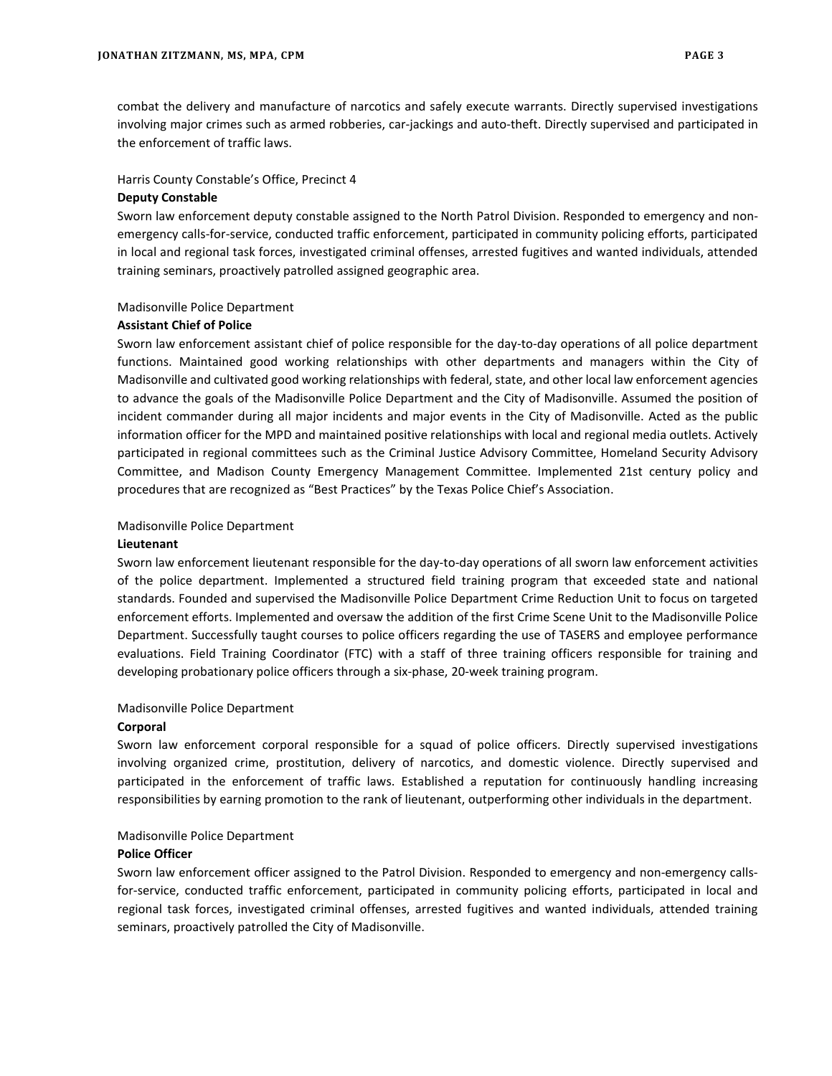combat the delivery and manufacture of narcotics and safely execute warrants. Directly supervised investigations involving major crimes such as armed robberies, car-jackings and auto-theft. Directly supervised and participated in the enforcement of traffic laws.

#### Harris County Constable's Office, Precinct 4

#### **Deputy Constable**

Sworn law enforcement deputy constable assigned to the North Patrol Division. Responded to emergency and nonemergency calls-for-service, conducted traffic enforcement, participated in community policing efforts, participated in local and regional task forces, investigated criminal offenses, arrested fugitives and wanted individuals, attended training seminars, proactively patrolled assigned geographic area.

### Madisonville Police Department

### **Assistant Chief of Police**

Sworn law enforcement assistant chief of police responsible for the day-to-day operations of all police department functions. Maintained good working relationships with other departments and managers within the City of Madisonville and cultivated good working relationships with federal, state, and other local law enforcement agencies to advance the goals of the Madisonville Police Department and the City of Madisonville. Assumed the position of incident commander during all major incidents and major events in the City of Madisonville. Acted as the public information officer for the MPD and maintained positive relationships with local and regional media outlets. Actively participated in regional committees such as the Criminal Justice Advisory Committee, Homeland Security Advisory Committee, and Madison County Emergency Management Committee. Implemented 21st century policy and procedures that are recognized as "Best Practices" by the Texas Police Chief's Association.

### Madisonville Police Department

#### **Lieutenant**

Sworn law enforcement lieutenant responsible for the day-to-day operations of all sworn law enforcement activities of the police department. Implemented a structured field training program that exceeded state and national standards. Founded and supervised the Madisonville Police Department Crime Reduction Unit to focus on targeted enforcement efforts. Implemented and oversaw the addition of the first Crime Scene Unit to the Madisonville Police Department. Successfully taught courses to police officers regarding the use of TASERS and employee performance evaluations. Field Training Coordinator (FTC) with a staff of three training officers responsible for training and developing probationary police officers through a six-phase, 20-week training program.

# Madisonville Police Department

# **Corporal**

Sworn law enforcement corporal responsible for a squad of police officers. Directly supervised investigations involving organized crime, prostitution, delivery of narcotics, and domestic violence. Directly supervised and participated in the enforcement of traffic laws. Established a reputation for continuously handling increasing responsibilities by earning promotion to the rank of lieutenant, outperforming other individuals in the department.

# Madisonville Police Department

#### **Police Officer**

Sworn law enforcement officer assigned to the Patrol Division. Responded to emergency and non-emergency callsfor-service, conducted traffic enforcement, participated in community policing efforts, participated in local and regional task forces, investigated criminal offenses, arrested fugitives and wanted individuals, attended training seminars, proactively patrolled the City of Madisonville.